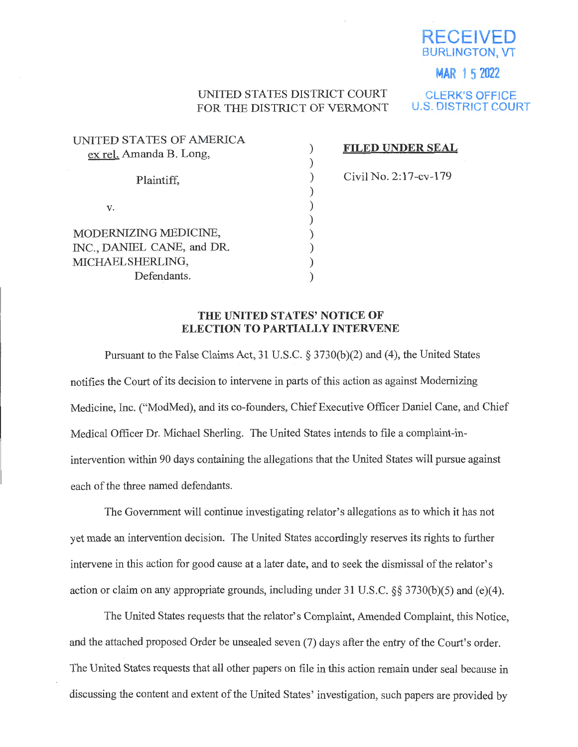

### **MAR 1 5 2022**

## UNITED STATES DISTRICT COURT FOR THE DISTRICT OF VERMONT

**CLERK'S OFFICE U.S. DISTRICT COURT** 

| UNITED STATES OF AMERICA   |  |
|----------------------------|--|
| ex rel. Amanda B. Long,    |  |
|                            |  |
| Plaintiff,                 |  |
|                            |  |
|                            |  |
| v.                         |  |
|                            |  |
| MODERNIZING MEDICINE,      |  |
| INC., DANIEL CANE, and DR. |  |
| MICHAEL SHERLING,          |  |
| Defendants.                |  |
|                            |  |

#### **FILED UNDER SEAL**

Civil No. 2:l 7-cv-179

#### **THE UNITED STATES' NOTICE OF ELECTION TO PARTIALLY INTERVENE**

Pursuant to the False Claims Act, 31 U.S.C. § 3730(b)(2) and (4), the United States notifies the Court of its decision to intervene in parts of this action as against Modernizing Medicine, Inc. ("ModMed), and its co-founders, Chief Executive Officer Daniel Cane, and Chief Medical Officer Dr. Michael Sherling. The United States intends to file a complaint-inintervention within 90 days containing the allegations that the United States will pursue against each of the three named defendants.

The Government will continue investigating relator's allegations as to which it has not yet made an intervention decision. The United States accordingly reserves its rights to further intervene in this action for good cause at a later date, and to seek the dismissal of the relator's action or claim on any appropriate grounds, including under 31 U.S.C. §§ 3730(b)(5) and (e)(4).

The United States requests that the relator's Complaint, Amended Complaint, this Notice, and the attached proposed Order be unsealed seven (7) days after the entry of the Court's order. The United States requests that all other papers on file in this action remain under seal because in discussing the content and extent of the United States' investigation, such papers are provided by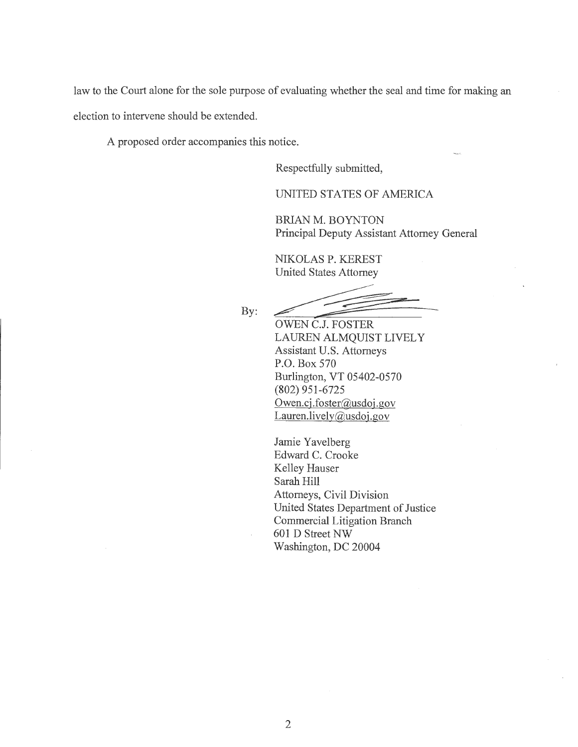law to the Court alone for the sole purpose of evaluating whether the seal and time for making an election to intervene should be extended.

A proposed order accompanies this notice.

Respectfully submitted,

UNITED STATES OF AMERICA

BRIAN M. BOYNTON Principal Deputy Assistant Attorney General

NIKOLAS P. KEREST United States Attorney

By:

OWEN C.J. FOSTER LAUREN ALMQUIST LIVELY Assistant U.S. Attorneys P.O. Box 570 Burlington, VT 05402-0570 (802) 951-6725 Owen.cj.foster@usdoj.gov Lauren.lively@usdoj.gov

Jamie Yavelberg Edward C. Crooke Kelley Hauser Sarah Hill Attorneys, Civil Division United States Department of Justice Commercial Litigation Branch 601 D Street NW Washington, DC 20004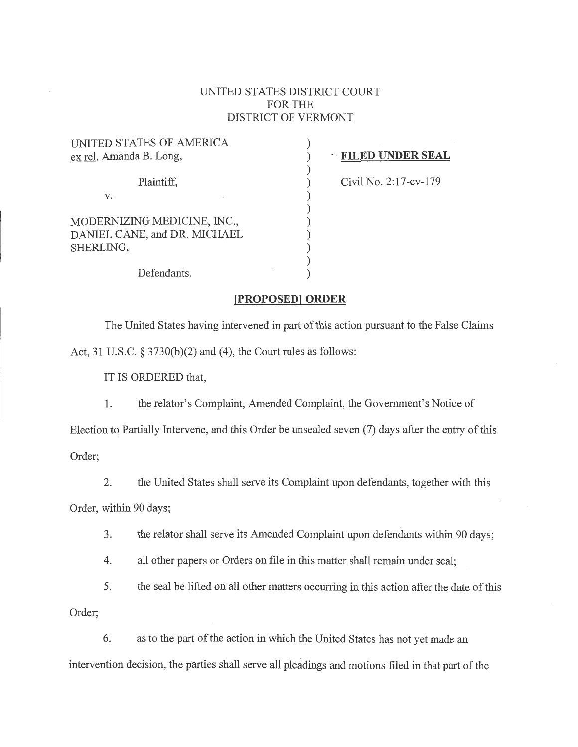### UNITED STATES DISTRICT COURT FOR THE DISTRICT OF VERMONT

| UNITED STATES OF AMERICA<br>ex rel. Amanda B. Long,                      |  |
|--------------------------------------------------------------------------|--|
| Plaintiff,                                                               |  |
| v.                                                                       |  |
| MODERNIZING MEDICINE, INC.,<br>DANIEL CANE, and DR. MICHAEL<br>SHERLING, |  |
| Defendants.                                                              |  |

# ) -· **FILED UNDER SEAL**

) Civil No. 2:17-cv-179

## **[PROPOSED] ORDER**

The United States having intervened in part of this action pursuant to the False Claims Act, 31 U.S.C. § 3730(b)(2) and (4), the Court rules as follows:

IT IS ORDERED that,

1. the relator's Complaint, Amended Complaint, the Government's Notice of

Election to Partially Intervene, and this Order be unsealed seven (7) days after the entry of this Order;

2. the United States shall serve its Complaint upon defendants, together with this

Order, within 90 days;

3. the relator shall serve its Amended Complaint upon defendants within 90 days;

4. all other papers or Orders on file in this matter shall remain under seal;

5. the seal be lifted on all other matters occurring in this action after the date of this

Order;

6. as to the part of the action in which the United States has not yet made an intervention decision, the parties shall serve all pleadings and motions filed in that part of the